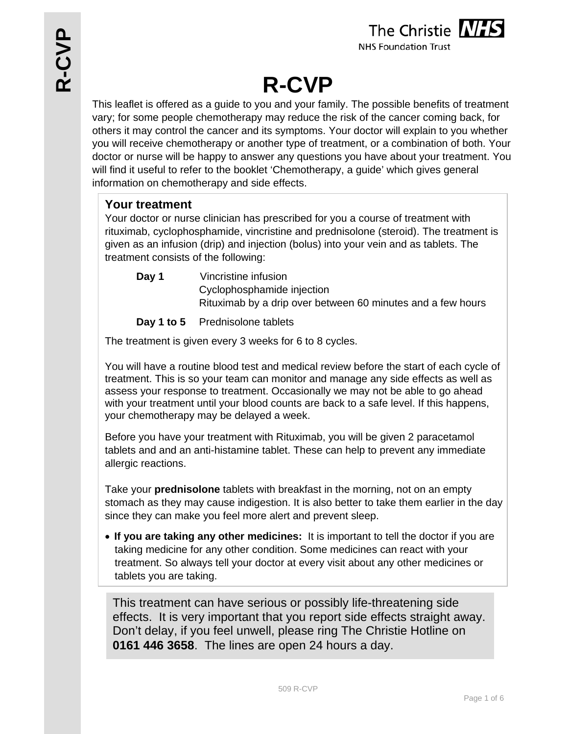

**NHS Foundation Trust** 

# **R-CVP**

This leaflet is offered as a guide to you and your family. The possible benefits of treatment vary; for some people chemotherapy may reduce the risk of the cancer coming back, for others it may control the cancer and its symptoms. Your doctor will explain to you whether you will receive chemotherapy or another type of treatment, or a combination of both. Your doctor or nurse will be happy to answer any questions you have about your treatment. You will find it useful to refer to the booklet 'Chemotherapy, a guide' which gives general information on chemotherapy and side effects.

## **Your treatment**

Your doctor or nurse clinician has prescribed for you a course of treatment with rituximab, cyclophosphamide, vincristine and prednisolone (steroid). The treatment is given as an infusion (drip) and injection (bolus) into your vein and as tablets. The treatment consists of the following:

**Day 1** Vincristine infusion Cyclophosphamide injection Rituximab by a drip over between 60 minutes and a few hours

**Day 1 to 5** Prednisolone tablets

The treatment is given every 3 weeks for 6 to 8 cycles.

You will have a routine blood test and medical review before the start of each cycle of treatment. This is so your team can monitor and manage any side effects as well as assess your response to treatment. Occasionally we may not be able to go ahead with your treatment until your blood counts are back to a safe level. If this happens, your chemotherapy may be delayed a week.

Before you have your treatment with Rituximab, you will be given 2 paracetamol tablets and and an anti-histamine tablet. These can help to prevent any immediate allergic reactions.

Take your **prednisolone** tablets with breakfast in the morning, not on an empty stomach as they may cause indigestion. It is also better to take them earlier in the day since they can make you feel more alert and prevent sleep.

 **If you are taking any other medicines:** It is important to tell the doctor if you are taking medicine for any other condition. Some medicines can react with your treatment. So always tell your doctor at every visit about any other medicines or tablets you are taking.

This treatment can have serious or possibly life-threatening side effects. It is very important that you report side effects straight away. Don't delay, if you feel unwell, please ring The Christie Hotline on **0161 446 3658**. The lines are open 24 hours a day.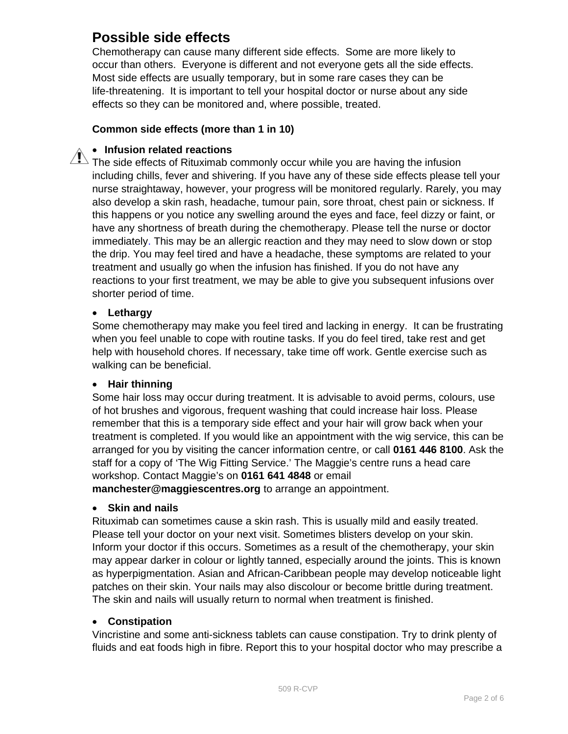# **Possible side effects**

Chemotherapy can cause many different side effects. Some are more likely to occur than others. Everyone is different and not everyone gets all the side effects. Most side effects are usually temporary, but in some rare cases they can be life-threatening. It is important to tell your hospital doctor or nurse about any side effects so they can be monitored and, where possible, treated.

#### **Common side effects (more than 1 in 10)**

#### **Infusion related reactions**

 $\sqrt{N}$  The side effects of Rituximab commonly occur while you are having the infusion including chills, fever and shivering. If you have any of these side effects please tell your nurse straightaway, however, your progress will be monitored regularly. Rarely, you may also develop a skin rash, headache, tumour pain, sore throat, chest pain or sickness. If this happens or you notice any swelling around the eyes and face, feel dizzy or faint, or have any shortness of breath during the chemotherapy. Please tell the nurse or doctor immediately. This may be an allergic reaction and they may need to slow down or stop the drip. You may feel tired and have a headache, these symptoms are related to your treatment and usually go when the infusion has finished. If you do not have any reactions to your first treatment, we may be able to give you subsequent infusions over shorter period of time.

#### **Lethargy**

Some chemotherapy may make you feel tired and lacking in energy. It can be frustrating when you feel unable to cope with routine tasks. If you do feel tired, take rest and get help with household chores. If necessary, take time off work. Gentle exercise such as walking can be beneficial.

#### **Hair thinning**

Some hair loss may occur during treatment. It is advisable to avoid perms, colours, use of hot brushes and vigorous, frequent washing that could increase hair loss. Please remember that this is a temporary side effect and your hair will grow back when your treatment is completed. If you would like an appointment with the wig service, this can be arranged for you by visiting the cancer information centre, or call **0161 446 8100**. Ask the staff for a copy of 'The Wig Fitting Service.' The Maggie's centre runs a head care workshop. Contact Maggie's on **0161 641 4848** or email **manchester@maggiescentres.org** to arrange an appointment.

#### **Skin and nails**

Rituximab can sometimes cause a skin rash. This is usually mild and easily treated. Please tell your doctor on your next visit. Sometimes blisters develop on your skin. Inform your doctor if this occurs. Sometimes as a result of the chemotherapy, your skin may appear darker in colour or lightly tanned, especially around the joints. This is known as hyperpigmentation. Asian and African-Caribbean people may develop noticeable light patches on their skin. Your nails may also discolour or become brittle during treatment. The skin and nails will usually return to normal when treatment is finished.

#### **Constipation**

Vincristine and some anti-sickness tablets can cause constipation. Try to drink plenty of fluids and eat foods high in fibre. Report this to your hospital doctor who may prescribe a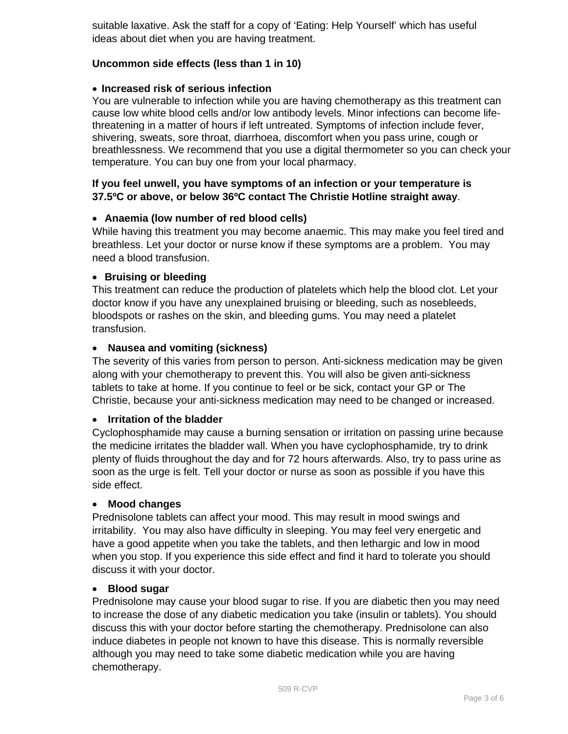suitable laxative. Ask the staff for a copy of 'Eating: Help Yourself' which has useful ideas about diet when you are having treatment.

#### **Uncommon side effects (less than 1 in 10)**

#### **Increased risk of serious infection**

You are vulnerable to infection while you are having chemotherapy as this treatment can cause low white blood cells and/or low antibody levels. Minor infections can become lifethreatening in a matter of hours if left untreated. Symptoms of infection include fever, shivering, sweats, sore throat, diarrhoea, discomfort when you pass urine, cough or breathlessness. We recommend that you use a digital thermometer so you can check your temperature. You can buy one from your local pharmacy.

#### **If you feel unwell, you have symptoms of an infection or your temperature is 37.5ºC or above, or below 36ºC contact The Christie Hotline straight away**.

#### **Anaemia (low number of red blood cells)**

While having this treatment you may become anaemic. This may make you feel tired and breathless. Let your doctor or nurse know if these symptoms are a problem. You may need a blood transfusion.

#### **Bruising or bleeding**

This treatment can reduce the production of platelets which help the blood clot. Let your doctor know if you have any unexplained bruising or bleeding, such as nosebleeds, bloodspots or rashes on the skin, and bleeding gums. You may need a platelet transfusion.

#### **Nausea and vomiting (sickness)**

The severity of this varies from person to person. Anti-sickness medication may be given along with your chemotherapy to prevent this. You will also be given anti-sickness tablets to take at home. If you continue to feel or be sick, contact your GP or The Christie, because your anti-sickness medication may need to be changed or increased.

#### **Irritation of the bladder**

Cyclophosphamide may cause a burning sensation or irritation on passing urine because the medicine irritates the bladder wall. When you have cyclophosphamide, try to drink plenty of fluids throughout the day and for 72 hours afterwards. Also, try to pass urine as soon as the urge is felt. Tell your doctor or nurse as soon as possible if you have this side effect.

#### **Mood changes**

Prednisolone tablets can affect your mood. This may result in mood swings and irritability. You may also have difficulty in sleeping. You may feel very energetic and have a good appetite when you take the tablets, and then lethargic and low in mood when you stop. If you experience this side effect and find it hard to tolerate you should discuss it with your doctor.

#### **Blood sugar**

Prednisolone may cause your blood sugar to rise. If you are diabetic then you may need to increase the dose of any diabetic medication you take (insulin or tablets). You should discuss this with your doctor before starting the chemotherapy. Prednisolone can also induce diabetes in people not known to have this disease. This is normally reversible although you may need to take some diabetic medication while you are having chemotherapy.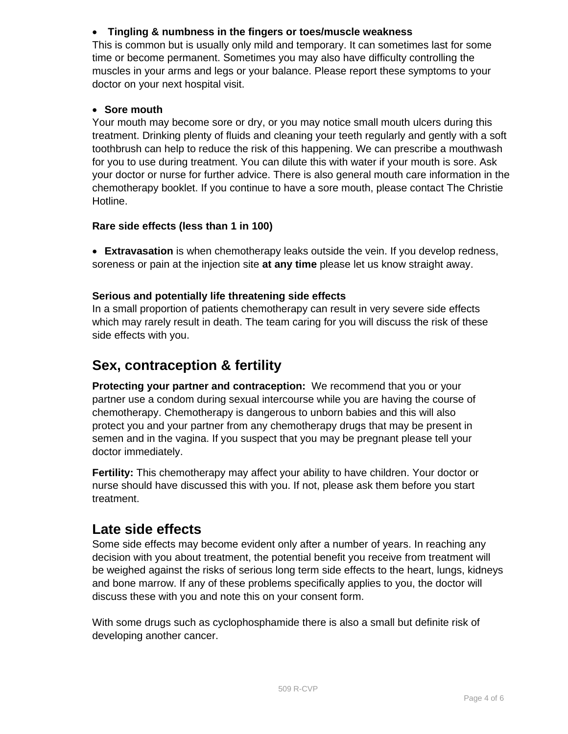#### **Tingling & numbness in the fingers or toes/muscle weakness**

This is common but is usually only mild and temporary. It can sometimes last for some time or become permanent. Sometimes you may also have difficulty controlling the muscles in your arms and legs or your balance. Please report these symptoms to your doctor on your next hospital visit.

#### **Sore mouth**

Your mouth may become sore or dry, or you may notice small mouth ulcers during this treatment. Drinking plenty of fluids and cleaning your teeth regularly and gently with a soft toothbrush can help to reduce the risk of this happening. We can prescribe a mouthwash for you to use during treatment. You can dilute this with water if your mouth is sore. Ask your doctor or nurse for further advice. There is also general mouth care information in the chemotherapy booklet. If you continue to have a sore mouth, please contact The Christie Hotline.

#### **Rare side effects (less than 1 in 100)**

 **Extravasation** is when chemotherapy leaks outside the vein. If you develop redness, soreness or pain at the injection site **at any time** please let us know straight away.

#### **Serious and potentially life threatening side effects**

In a small proportion of patients chemotherapy can result in very severe side effects which may rarely result in death. The team caring for you will discuss the risk of these side effects with you.

# **Sex, contraception & fertility**

**Protecting your partner and contraception:** We recommend that you or your partner use a condom during sexual intercourse while you are having the course of chemotherapy. Chemotherapy is dangerous to unborn babies and this will also protect you and your partner from any chemotherapy drugs that may be present in semen and in the vagina. If you suspect that you may be pregnant please tell your doctor immediately.

**Fertility:** This chemotherapy may affect your ability to have children. Your doctor or nurse should have discussed this with you. If not, please ask them before you start treatment.

## **Late side effects**

Some side effects may become evident only after a number of years. In reaching any decision with you about treatment, the potential benefit you receive from treatment will be weighed against the risks of serious long term side effects to the heart, lungs, kidneys and bone marrow. If any of these problems specifically applies to you, the doctor will discuss these with you and note this on your consent form.

With some drugs such as cyclophosphamide there is also a small but definite risk of developing another cancer.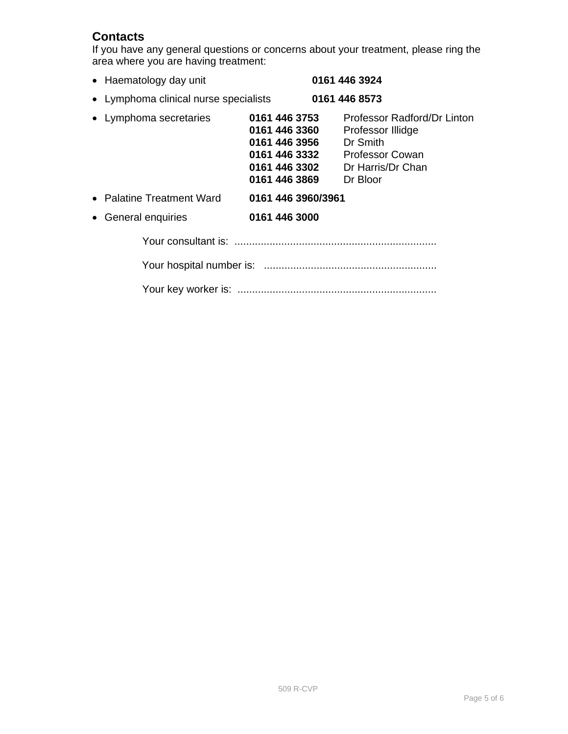## **Contacts**

If you have any general questions or concerns about your treatment, please ring the area where you are having treatment:

| • Haematology day unit                |                                                                                   | 0161 446 3924                                                                                                                  |
|---------------------------------------|-----------------------------------------------------------------------------------|--------------------------------------------------------------------------------------------------------------------------------|
| • Lymphoma clinical nurse specialists |                                                                                   | 0161 446 8573                                                                                                                  |
| • Lymphoma secretaries                | 0161 446 3753<br>0161 446 3360<br>0161 446 3956<br>0161 446 3302<br>0161 446 3869 | Professor Radford/Dr Linton<br>Professor Illidge<br>Dr Smith<br>0161 446 3332 Professor Cowan<br>Dr Harris/Dr Chan<br>Dr Bloor |
| • Palatine Treatment Ward             | 0161 446 3960/3961                                                                |                                                                                                                                |
| • General enquiries                   | 0161 446 3000                                                                     |                                                                                                                                |
|                                       |                                                                                   |                                                                                                                                |
|                                       |                                                                                   |                                                                                                                                |
|                                       |                                                                                   |                                                                                                                                |